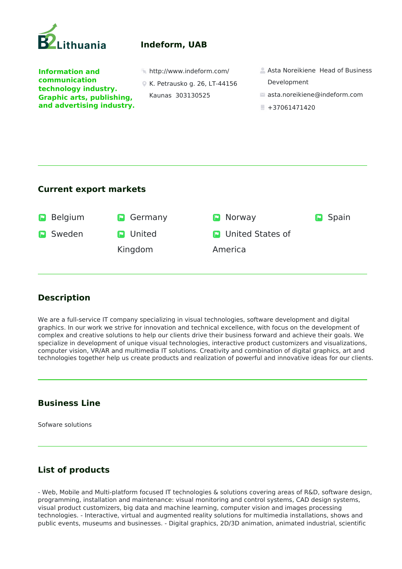

# **Indeform, UAB**

**Information and communication technology industry. Graphic arts, publishing, and advertising industry.** 

K. Petrausko g. 26, LT-44156 Kaunas 303130525

- **http://www.indeform.com/ Asta Noreikiene Head of Business** Development
	- asta.noreikiene@indeform.com
	- $+37061471420$

## **Current export markets**



### **Description**

We are a full-service IT company specializing in visual technologies, software development and digital graphics. In our work we strive for innovation and technical excellence, with focus on the development of complex and creative solutions to help our clients drive their business forward and achieve their goals. We specialize in development of unique visual technologies, interactive product customizers and visualizations, computer vision, VR/AR and multimedia IT solutions. Creativity and combination of digital graphics, art and technologies together help us create products and realization of powerful and innovative ideas for our clients.

### **Business Line**

Sofware solutions

# **List of products**

- Web, Mobile and Multi-platform focused IT technologies & solutions covering areas of R&D, software design, programming, installation and maintenance: visual monitoring and control systems, CAD design systems, visual product customizers, big data and machine learning, computer vision and images processing technologies. - Interactive, virtual and augmented reality solutions for multimedia installations, shows and public events, museums and businesses. - Digital graphics, 2D/3D animation, animated industrial, scientific